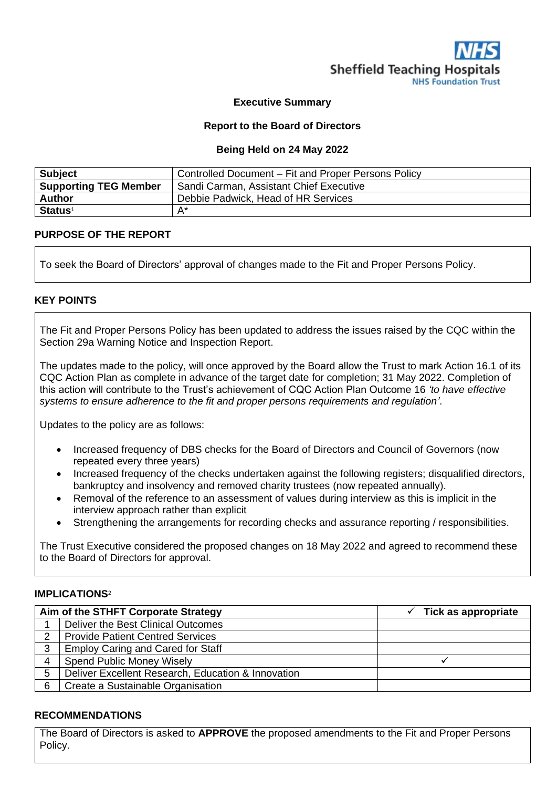

#### **Executive Summary**

#### **Report to the Board of Directors**

#### **Being Held on 24 May 2022**

| <b>Subject</b>               | Controlled Document - Fit and Proper Persons Policy |
|------------------------------|-----------------------------------------------------|
| <b>Supporting TEG Member</b> | Sandi Carman, Assistant Chief Executive             |
| <b>Author</b>                | Debbie Padwick, Head of HR Services                 |
| <b>Status</b> <sup>1</sup>   | $A^*$                                               |

#### **PURPOSE OF THE REPORT**

To seek the Board of Directors' approval of changes made to the Fit and Proper Persons Policy.

#### **KEY POINTS**

The Fit and Proper Persons Policy has been updated to address the issues raised by the CQC within the Section 29a Warning Notice and Inspection Report.

The updates made to the policy, will once approved by the Board allow the Trust to mark Action 16.1 of its CQC Action Plan as complete in advance of the target date for completion; 31 May 2022. Completion of this action will contribute to the Trust's achievement of CQC Action Plan Outcome 16 *'to have effective systems to ensure adherence to the fit and proper persons requirements and regulation'*.

Updates to the policy are as follows:

- Increased frequency of DBS checks for the Board of Directors and Council of Governors (now repeated every three years)
- Increased frequency of the checks undertaken against the following registers; disqualified directors, bankruptcy and insolvency and removed charity trustees (now repeated annually).
- Removal of the reference to an assessment of values during interview as this is implicit in the interview approach rather than explicit
- Strengthening the arrangements for recording checks and assurance reporting / responsibilities.

The Trust Executive considered the proposed changes on 18 May 2022 and agreed to recommend these to the Board of Directors for approval.

#### **IMPLICATIONS**<sup>2</sup>

|                       | Aim of the STHFT Corporate Strategy                | $\checkmark$ Tick as appropriate |
|-----------------------|----------------------------------------------------|----------------------------------|
|                       | Deliver the Best Clinical Outcomes                 |                                  |
| $\mathbf{2}^{\prime}$ | <b>Provide Patient Centred Services</b>            |                                  |
| 3                     | <b>Employ Caring and Cared for Staff</b>           |                                  |
|                       | <b>Spend Public Money Wisely</b>                   |                                  |
| 5                     | Deliver Excellent Research, Education & Innovation |                                  |
| 6                     | Create a Sustainable Organisation                  |                                  |

#### **RECOMMENDATIONS**

The Board of Directors is asked to **APPROVE** the proposed amendments to the Fit and Proper Persons Policy.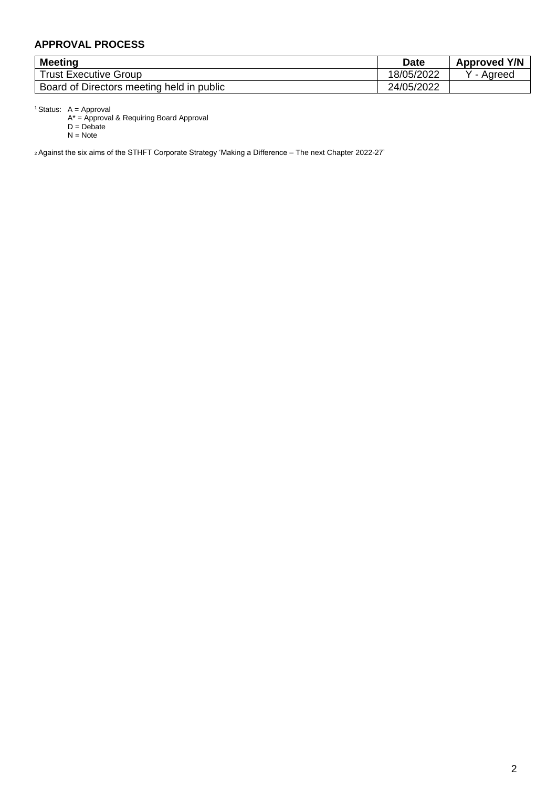## **APPROVAL PROCESS**

| <b>Meeting</b>                            | <b>Date</b> | <b>Approved Y/N</b> |
|-------------------------------------------|-------------|---------------------|
| Trust Executive Group                     | 18/05/2022  | Agreed              |
| Board of Directors meeting held in public | 24/05/2022  |                     |

<sup>1</sup> Status:  $A =$  Approval

A\* = Approval & Requiring Board Approval

D = Debate

N = Note

<sup>2</sup>Against the six aims of the STHFT Corporate Strategy 'Making a Difference – The next Chapter 2022-27'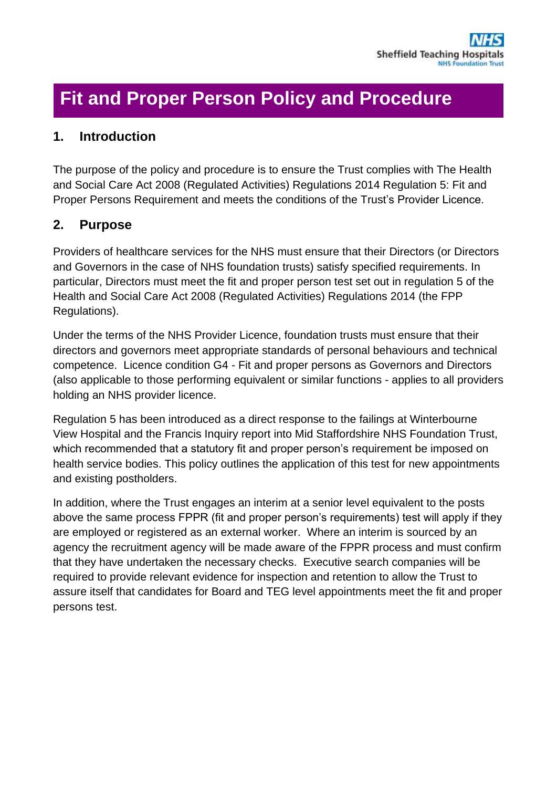# **Fit and Proper Person Policy and Procedure**

# **1. Introduction**

The purpose of the policy and procedure is to ensure the Trust complies with The Health and Social Care Act 2008 (Regulated Activities) Regulations 2014 Regulation 5: Fit and Proper Persons Requirement and meets the conditions of the Trust's Provider Licence.

# **2. Purpose**

Providers of healthcare services for the NHS must ensure that their Directors (or Directors and Governors in the case of NHS foundation trusts) satisfy specified requirements. In particular, Directors must meet the fit and proper person test set out in regulation 5 of the Health and Social Care Act 2008 (Regulated Activities) Regulations 2014 (the FPP Regulations).

Under the terms of the NHS Provider Licence, foundation trusts must ensure that their directors and governors meet appropriate standards of personal behaviours and technical competence. Licence condition G4 - Fit and proper persons as Governors and Directors (also applicable to those performing equivalent or similar functions - applies to all providers holding an NHS provider licence.

Regulation 5 has been introduced as a direct response to the failings at Winterbourne View Hospital and the Francis Inquiry report into Mid Staffordshire NHS Foundation Trust, which recommended that a statutory fit and proper person's requirement be imposed on health service bodies. This policy outlines the application of this test for new appointments and existing postholders.

In addition, where the Trust engages an interim at a senior level equivalent to the posts above the same process FPPR (fit and proper person's requirements) test will apply if they are employed or registered as an external worker. Where an interim is sourced by an agency the recruitment agency will be made aware of the FPPR process and must confirm that they have undertaken the necessary checks. Executive search companies will be required to provide relevant evidence for inspection and retention to allow the Trust to assure itself that candidates for Board and TEG level appointments meet the fit and proper persons test.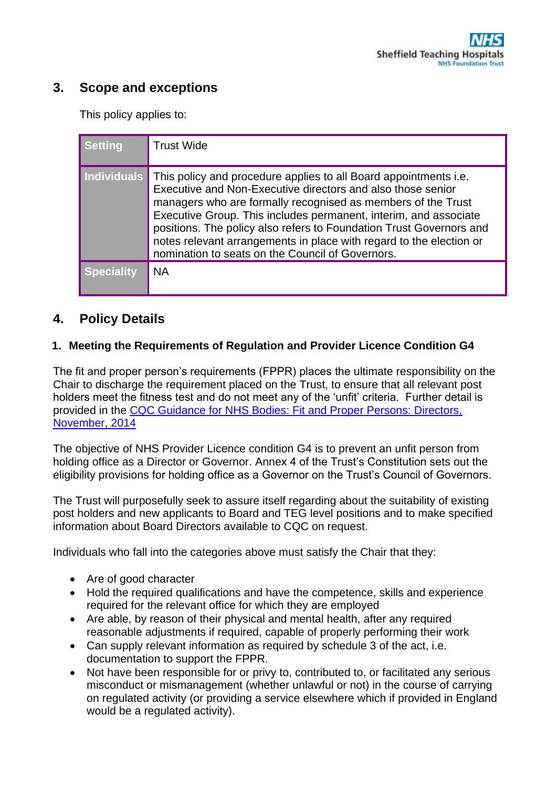# **3. Scope and exceptions**

This policy applies to:

| <b>Setting</b>     | <b>Trust Wide</b>                                                                                                                                                                                                                                                                                                                                                                                                                                                     |
|--------------------|-----------------------------------------------------------------------------------------------------------------------------------------------------------------------------------------------------------------------------------------------------------------------------------------------------------------------------------------------------------------------------------------------------------------------------------------------------------------------|
| <b>Individuals</b> | This policy and procedure applies to all Board appointments i.e.<br>Executive and Non-Executive directors and also those senior<br>managers who are formally recognised as members of the Trust<br>Executive Group. This includes permanent, interim, and associate<br>positions. The policy also refers to Foundation Trust Governors and<br>notes relevant arrangements in place with regard to the election or<br>nomination to seats on the Council of Governors. |
| Speciality         | <b>NA</b>                                                                                                                                                                                                                                                                                                                                                                                                                                                             |

# **4. Policy Details**

## **1. Meeting the Requirements of Regulation and Provider Licence Condition G4**

The fit and proper person's requirements (FPPR) places the ultimate responsibility on the Chair to discharge the requirement placed on the Trust, to ensure that all relevant post holders meet the fitness test and do not meet any of the 'unfit' criteria. Further detail is provided in the [CQC Guidance for NHS Bodies: Fit and Proper Persons: Directors,](http://www.cqc.org.uk/sites/default/files/20141120_doc_fppf_final_nhs_provider_guidance_v1-0.pdf)  [November, 2014](http://www.cqc.org.uk/sites/default/files/20141120_doc_fppf_final_nhs_provider_guidance_v1-0.pdf)

The objective of NHS Provider Licence condition G4 is to prevent an unfit person from holding office as a Director or Governor. Annex 4 of the Trust's Constitution sets out the eligibility provisions for holding office as a Governor on the Trust's Council of Governors.

The Trust will purposefully seek to assure itself regarding about the suitability of existing post holders and new applicants to Board and TEG level positions and to make specified information about Board Directors available to CQC on request.

Individuals who fall into the categories above must satisfy the Chair that they:

- Are of good character
- Hold the required qualifications and have the competence, skills and experience required for the relevant office for which they are employed
- Are able, by reason of their physical and mental health, after any required reasonable adjustments if required, capable of properly performing their work
- Can supply relevant information as required by schedule 3 of the act, i.e. documentation to support the FPPR.
- Not have been responsible for or privy to, contributed to, or facilitated any serious misconduct or mismanagement (whether unlawful or not) in the course of carrying on regulated activity (or providing a service elsewhere which if provided in England would be a regulated activity).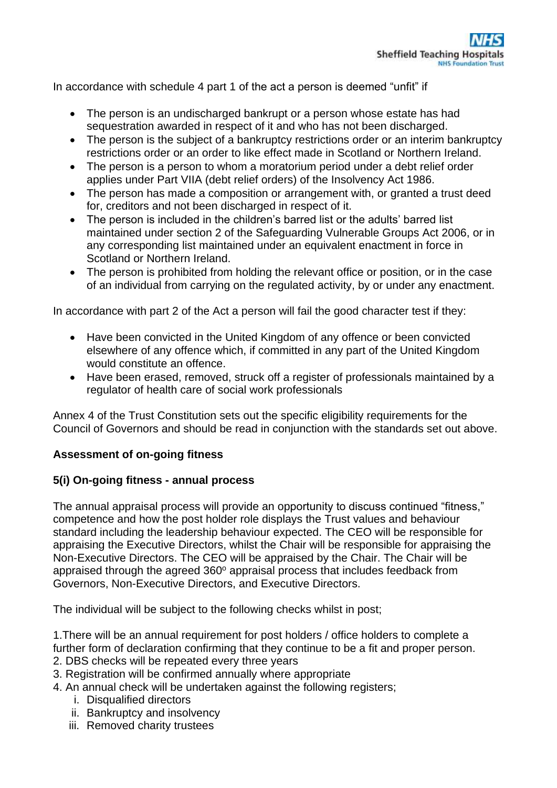In accordance with schedule 4 part 1 of the act a person is deemed "unfit" if

- The person is an undischarged bankrupt or a person whose estate has had sequestration awarded in respect of it and who has not been discharged.
- The person is the subject of a bankruptcy restrictions order or an interim bankruptcy restrictions order or an order to like effect made in Scotland or Northern Ireland.
- The person is a person to whom a moratorium period under a debt relief order applies under Part VIIA (debt relief orders) of the Insolvency Act 1986.
- The person has made a composition or arrangement with, or granted a trust deed for, creditors and not been discharged in respect of it.
- The person is included in the children's barred list or the adults' barred list maintained under section 2 of the Safeguarding Vulnerable Groups Act 2006, or in any corresponding list maintained under an equivalent enactment in force in Scotland or Northern Ireland.
- The person is prohibited from holding the relevant office or position, or in the case of an individual from carrying on the regulated activity, by or under any enactment.

In accordance with part 2 of the Act a person will fail the good character test if they:

- Have been convicted in the United Kingdom of any offence or been convicted elsewhere of any offence which, if committed in any part of the United Kingdom would constitute an offence.
- Have been erased, removed, struck off a register of professionals maintained by a regulator of health care of social work professionals

Annex 4 of the Trust Constitution sets out the specific eligibility requirements for the Council of Governors and should be read in conjunction with the standards set out above.

## **Assessment of on-going fitness**

## **5(i) On-going fitness - annual process**

The annual appraisal process will provide an opportunity to discuss continued "fitness," competence and how the post holder role displays the Trust values and behaviour standard including the leadership behaviour expected. The CEO will be responsible for appraising the Executive Directors, whilst the Chair will be responsible for appraising the Non-Executive Directors. The CEO will be appraised by the Chair. The Chair will be appraised through the agreed  $360^\circ$  appraisal process that includes feedback from Governors, Non-Executive Directors, and Executive Directors.

The individual will be subject to the following checks whilst in post;

1.There will be an annual requirement for post holders / office holders to complete a further form of declaration confirming that they continue to be a fit and proper person.

- 2. DBS checks will be repeated every three years
- 3. Registration will be confirmed annually where appropriate
- 4. An annual check will be undertaken against the following registers;
	- i. Disqualified directors
	- ii. Bankruptcy and insolvency
	- iii. Removed charity trustees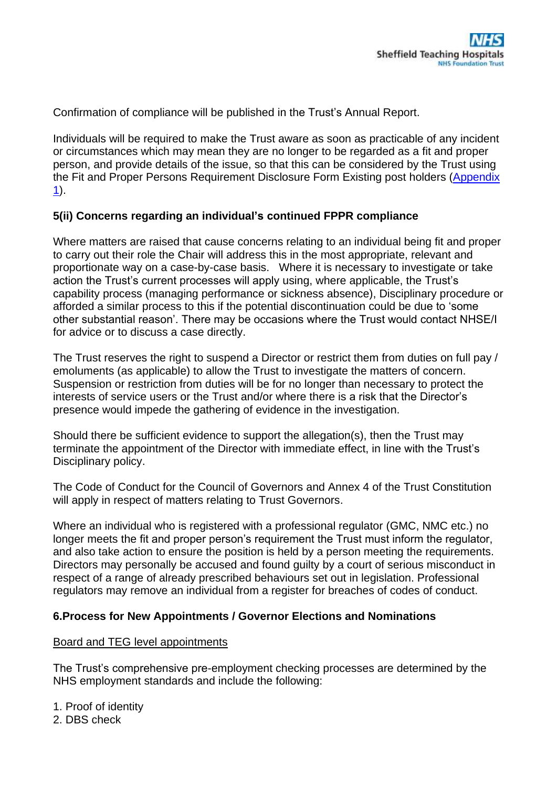Confirmation of compliance will be published in the Trust's Annual Report.

Individuals will be required to make the Trust aware as soon as practicable of any incident or circumstances which may mean they are no longer to be regarded as a fit and proper person, and provide details of the issue, so that this can be considered by the Trust using the Fit and Proper Persons Requirement Disclosure Form Existing post holders (Appendix [1\)](http://nww.sth.nhs.uk/STHcontDocs/STH_Pol/HumanResources/PersonalDisclosureFormExistingPostholders.docx).

## **5(ii) Concerns regarding an individual's continued FPPR compliance**

Where matters are raised that cause concerns relating to an individual being fit and proper to carry out their role the Chair will address this in the most appropriate, relevant and proportionate way on a case-by-case basis. Where it is necessary to investigate or take action the Trust's current processes will apply using, where applicable, the Trust's capability process (managing performance or sickness absence), Disciplinary procedure or afforded a similar process to this if the potential discontinuation could be due to 'some other substantial reason'. There may be occasions where the Trust would contact NHSE/I for advice or to discuss a case directly.

The Trust reserves the right to suspend a Director or restrict them from duties on full pay / emoluments (as applicable) to allow the Trust to investigate the matters of concern. Suspension or restriction from duties will be for no longer than necessary to protect the interests of service users or the Trust and/or where there is a risk that the Director's presence would impede the gathering of evidence in the investigation.

Should there be sufficient evidence to support the allegation(s), then the Trust may terminate the appointment of the Director with immediate effect, in line with the Trust's Disciplinary policy.

The Code of Conduct for the Council of Governors and Annex 4 of the Trust Constitution will apply in respect of matters relating to Trust Governors.

Where an individual who is registered with a professional regulator (GMC, NMC etc.) no longer meets the fit and proper person's requirement the Trust must inform the regulator, and also take action to ensure the position is held by a person meeting the requirements. Directors may personally be accused and found guilty by a court of serious misconduct in respect of a range of already prescribed behaviours set out in legislation. Professional regulators may remove an individual from a register for breaches of codes of conduct.

### **6.Process for New Appointments / Governor Elections and Nominations**

### Board and TEG level appointments

The Trust's comprehensive pre-employment checking processes are determined by the NHS employment standards and include the following:

1. Proof of identity 2. DBS check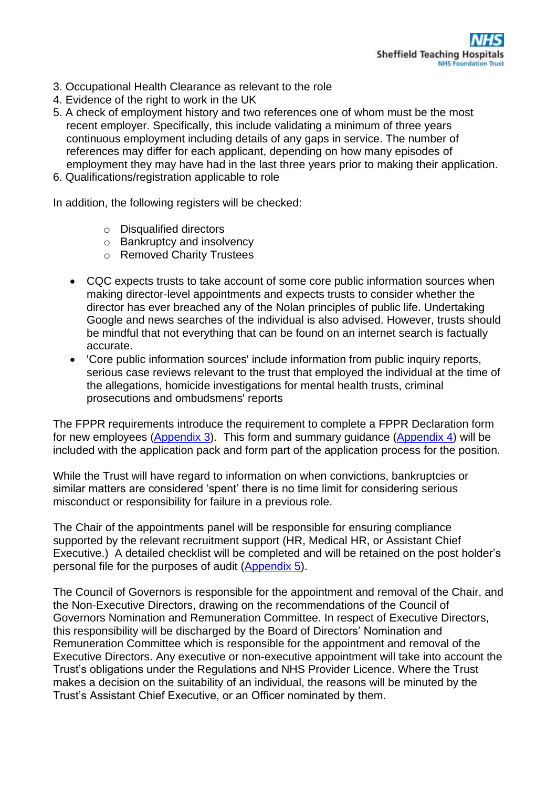- 3. Occupational Health Clearance as relevant to the role
- 4. Evidence of the right to work in the UK
- 5. A check of employment history and two references one of whom must be the most recent employer. Specifically, this include validating a minimum of three years continuous employment including details of any gaps in service. The number of references may differ for each applicant, depending on how many episodes of employment they may have had in the last three years prior to making their application.
- 6. Qualifications/registration applicable to role

In addition, the following registers will be checked:

- o Disqualified directors
- o Bankruptcy and insolvency
- o Removed Charity Trustees
- CQC expects trusts to take account of some core public information sources when making director-level appointments and expects trusts to consider whether the director has ever breached any of the Nolan principles of public life. Undertaking Google and news searches of the individual is also advised. However, trusts should be mindful that not everything that can be found on an internet search is factually accurate.
- 'Core public information sources' include information from public inquiry reports, serious case reviews relevant to the trust that employed the individual at the time of the allegations, homicide investigations for mental health trusts, criminal prosecutions and ombudsmens' reports

The FPPR requirements introduce the requirement to complete a FPPR Declaration form for new employees [\(Appendix 3\)](http://nww.sth.nhs.uk/STHcontDocs/STH_Pol/HumanResources/PersonalDisclosureFormApplicants.docx). This form and summary guidance [\(Appendix 4\)](http://nww.sth.nhs.uk/STHcontDocs/STH_Pol/HumanResources/ImportantInformationApplicants.docx) will be included with the application pack and form part of the application process for the position.

While the Trust will have regard to information on when convictions, bankruptcies or similar matters are considered 'spent' there is no time limit for considering serious misconduct or responsibility for failure in a previous role.

The Chair of the appointments panel will be responsible for ensuring compliance supported by the relevant recruitment support (HR, Medical HR, or Assistant Chief Executive.) A detailed checklist will be completed and will be retained on the post holder's personal file for the purposes of audit [\(Appendix 5\)](http://nww.sth.nhs.uk/STHcontDocs/STH_Pol/HumanResources/NewApplicantsEmploymentChecklist.docx).

The Council of Governors is responsible for the appointment and removal of the Chair, and the Non-Executive Directors, drawing on the recommendations of the Council of Governors Nomination and Remuneration Committee. In respect of Executive Directors, this responsibility will be discharged by the Board of Directors' Nomination and Remuneration Committee which is responsible for the appointment and removal of the Executive Directors. Any executive or non-executive appointment will take into account the Trust's obligations under the Regulations and NHS Provider Licence. Where the Trust makes a decision on the suitability of an individual, the reasons will be minuted by the Trust's Assistant Chief Executive, or an Officer nominated by them.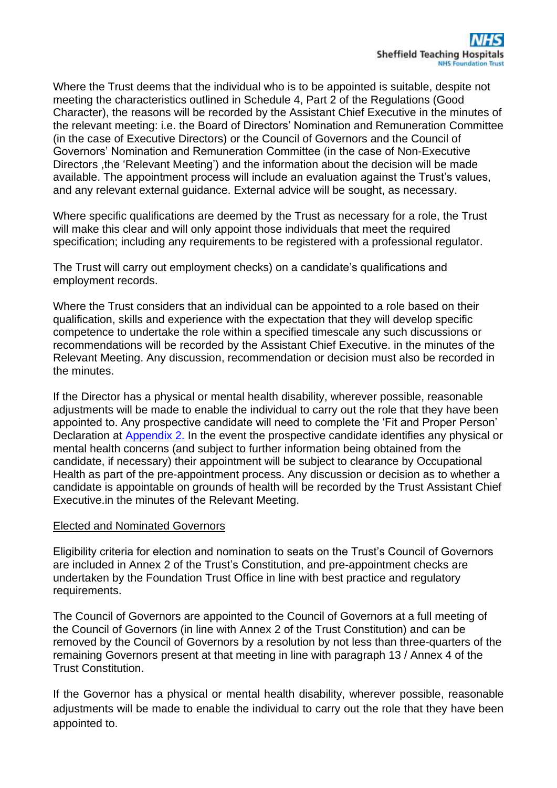Where the Trust deems that the individual who is to be appointed is suitable, despite not meeting the characteristics outlined in Schedule 4, Part 2 of the Regulations (Good Character), the reasons will be recorded by the Assistant Chief Executive in the minutes of the relevant meeting: i.e. the Board of Directors' Nomination and Remuneration Committee (in the case of Executive Directors) or the Council of Governors and the Council of Governors' Nomination and Remuneration Committee (in the case of Non-Executive Directors ,the 'Relevant Meeting') and the information about the decision will be made available. The appointment process will include an evaluation against the Trust's values, and any relevant external guidance. External advice will be sought, as necessary.

Where specific qualifications are deemed by the Trust as necessary for a role, the Trust will make this clear and will only appoint those individuals that meet the required specification; including any requirements to be registered with a professional regulator.

The Trust will carry out employment checks) on a candidate's qualifications and employment records.

Where the Trust considers that an individual can be appointed to a role based on their qualification, skills and experience with the expectation that they will develop specific competence to undertake the role within a specified timescale any such discussions or recommendations will be recorded by the Assistant Chief Executive. in the minutes of the Relevant Meeting. Any discussion, recommendation or decision must also be recorded in the minutes.

If the Director has a physical or mental health disability, wherever possible, reasonable adjustments will be made to enable the individual to carry out the role that they have been appointed to. Any prospective candidate will need to complete the 'Fit and Proper Person' Declaration at [Appendix 2.](http://nww.sth.nhs.uk/STHcontDocs/STH_Pol/HumanResources/RecruitmentAndSelection.docx) In the event the prospective candidate identifies any physical or mental health concerns (and subject to further information being obtained from the candidate, if necessary) their appointment will be subject to clearance by Occupational Health as part of the pre-appointment process. Any discussion or decision as to whether a candidate is appointable on grounds of health will be recorded by the Trust Assistant Chief Executive.in the minutes of the Relevant Meeting.

### Elected and Nominated Governors

Eligibility criteria for election and nomination to seats on the Trust's Council of Governors are included in Annex 2 of the Trust's Constitution, and pre-appointment checks are undertaken by the Foundation Trust Office in line with best practice and regulatory requirements.

The Council of Governors are appointed to the Council of Governors at a full meeting of the Council of Governors (in line with Annex 2 of the Trust Constitution) and can be removed by the Council of Governors by a resolution by not less than three-quarters of the remaining Governors present at that meeting in line with paragraph 13 / Annex 4 of the Trust Constitution.

If the Governor has a physical or mental health disability, wherever possible, reasonable adjustments will be made to enable the individual to carry out the role that they have been appointed to.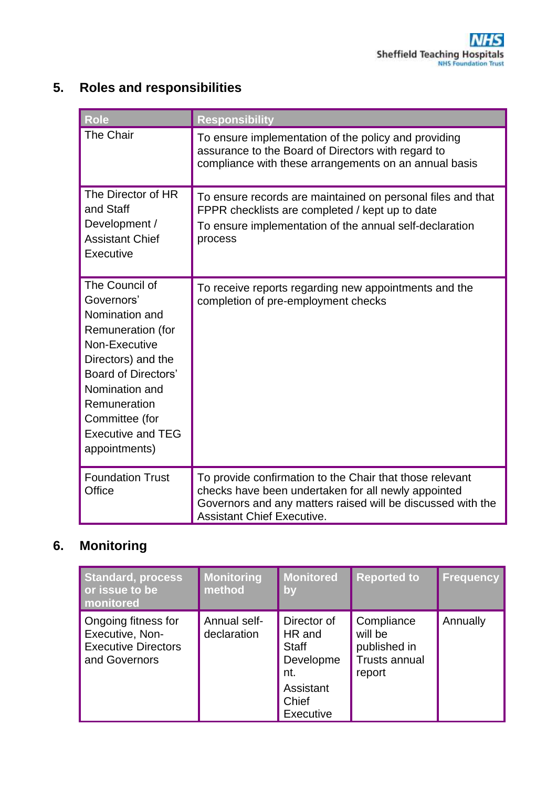# **5. Roles and responsibilities**

| Role                                                                                                                                                                                                                                      | <b>Responsibility</b>                                                                                                                                                                                               |
|-------------------------------------------------------------------------------------------------------------------------------------------------------------------------------------------------------------------------------------------|---------------------------------------------------------------------------------------------------------------------------------------------------------------------------------------------------------------------|
| The Chair                                                                                                                                                                                                                                 | To ensure implementation of the policy and providing<br>assurance to the Board of Directors with regard to<br>compliance with these arrangements on an annual basis                                                 |
| The Director of HR<br>and Staff<br>Development /<br><b>Assistant Chief</b><br>Executive                                                                                                                                                   | To ensure records are maintained on personal files and that<br>FPPR checklists are completed / kept up to date<br>To ensure implementation of the annual self-declaration<br>process                                |
| The Council of<br>Governors'<br>Nomination and<br>Remuneration (for<br>Non-Executive<br>Directors) and the<br><b>Board of Directors'</b><br>Nomination and<br>Remuneration<br>Committee (for<br><b>Executive and TEG</b><br>appointments) | To receive reports regarding new appointments and the<br>completion of pre-employment checks                                                                                                                        |
| <b>Foundation Trust</b><br>Office                                                                                                                                                                                                         | To provide confirmation to the Chair that those relevant<br>checks have been undertaken for all newly appointed<br>Governors and any matters raised will be discussed with the<br><b>Assistant Chief Executive.</b> |

# **6. Monitoring**

| <b>Standard, process</b><br>or issue to be<br>monitored                               | <b>Monitoring</b><br>method | <b>Monitored</b><br>by                                                                              | <b>Reported to</b>                                                      | <b>Frequency</b> |
|---------------------------------------------------------------------------------------|-----------------------------|-----------------------------------------------------------------------------------------------------|-------------------------------------------------------------------------|------------------|
| Ongoing fitness for<br>Executive, Non-<br><b>Executive Directors</b><br>and Governors | Annual self-<br>declaration | Director of<br>HR and<br><b>Staff</b><br>Developme<br>nt.<br>Assistant<br>Chief<br><b>Executive</b> | Compliance<br>will be<br>published in<br><b>Trusts annual</b><br>report | Annually         |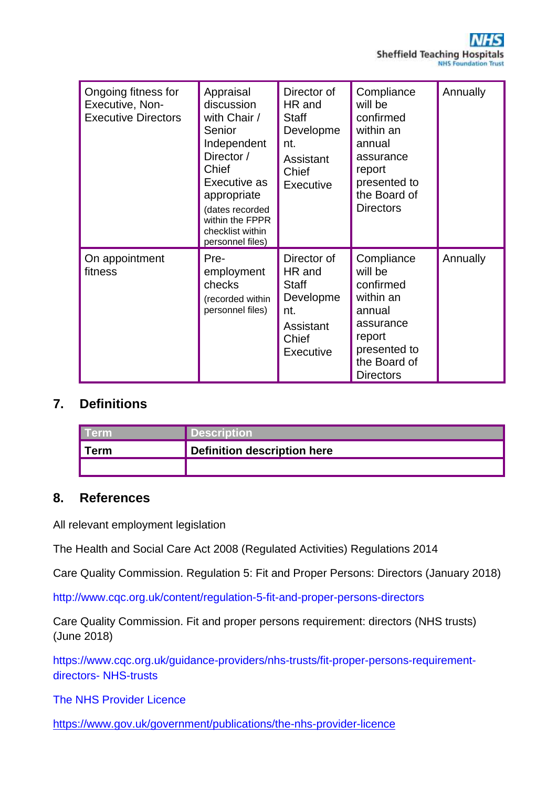

| Ongoing fitness for<br>Executive, Non-<br><b>Executive Directors</b> | Appraisal<br>discussion<br>with Chair /<br>Senior<br>Independent<br>Director /<br>Chief<br>Executive as<br>appropriate<br>(dates recorded<br>within the FPPR<br>checklist within<br>personnel files) | Director of<br>HR and<br>Staff<br>Developme<br>nt.<br>Assistant<br>Chief<br>Executive        | Compliance<br>will be<br>confirmed<br>within an<br>annual<br>assurance<br>report<br>presented to<br>the Board of<br><b>Directors</b> | Annually |
|----------------------------------------------------------------------|------------------------------------------------------------------------------------------------------------------------------------------------------------------------------------------------------|----------------------------------------------------------------------------------------------|--------------------------------------------------------------------------------------------------------------------------------------|----------|
| On appointment<br>fitness                                            | Pre-<br>employment<br>checks<br>(recorded within<br>personnel files)                                                                                                                                 | Director of<br>HR and<br><b>Staff</b><br>Developme<br>nt.<br>Assistant<br>Chief<br>Executive | Compliance<br>will be<br>confirmed<br>within an<br>annual<br>assurance<br>report<br>presented to<br>the Board of<br><b>Directors</b> | Annually |

## **7. Definitions**

| l Term | <b>Description</b>          |
|--------|-----------------------------|
| ∥ Term | Definition description here |
|        |                             |

## **8. References**

All relevant employment legislation

The Health and Social Care Act 2008 (Regulated Activities) Regulations 2014

Care Quality Commission. Regulation 5: Fit and Proper Persons: Directors (January 2018)

http://www.cqc.org.uk/content/regulation-5-fit-and-proper-persons-directors

Care Quality Commission. Fit and proper persons requirement: directors (NHS trusts) (June 2018)

https://www.cqc.org.uk/guidance-providers/nhs-trusts/fit-proper-persons-requirementdirectors- NHS-trusts

The NHS Provider Licence

<https://www.gov.uk/government/publications/the-nhs-provider-licence>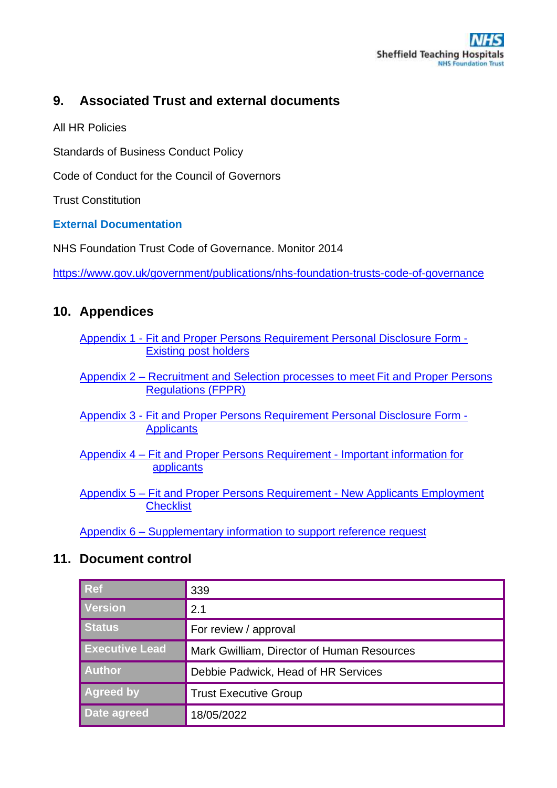# **9. Associated Trust and external documents**

All HR Policies

Standards of Business Conduct Policy

Code of Conduct for the Council of Governors

Trust Constitution

## **External Documentation**

NHS Foundation Trust Code of Governance. Monitor 2014

<https://www.gov.uk/government/publications/nhs-foundation-trusts-code-of-governance>

# **10. Appendices**

- Appendix 1 [Fit and Proper Persons Requirement Personal Disclosure Form -](http://nww.sth.nhs.uk/STHcontDocs/STH_Pol/HumanResources/PersonalDisclosureFormExistingPostholders.docx) [Existing post holders](http://nww.sth.nhs.uk/STHcontDocs/STH_Pol/HumanResources/PersonalDisclosureFormExistingPostholders.docx)
- Appendix 2 [Recruitment and Selection processes to meet](http://nww.sth.nhs.uk/STHcontDocs/STH_Pol/HumanResources/RecruitmentAndSelection.docx) Fit and Proper Persons [Regulations \(FPPR\)](http://nww.sth.nhs.uk/STHcontDocs/STH_Pol/HumanResources/RecruitmentAndSelection.docx)
- Appendix 3 [Fit and Proper Persons Requirement Personal Disclosure Form -](http://nww.sth.nhs.uk/STHcontDocs/STH_Pol/HumanResources/PersonalDisclosureFormApplicants.docx) **[Applicants](http://nww.sth.nhs.uk/STHcontDocs/STH_Pol/HumanResources/PersonalDisclosureFormApplicants.docx)**
- Appendix 4 [Fit and Proper Persons Requirement -](http://nww.sth.nhs.uk/STHcontDocs/STH_Pol/HumanResources/ImportantInformationApplicants.docx) Important information for [applicants](http://nww.sth.nhs.uk/STHcontDocs/STH_Pol/HumanResources/ImportantInformationApplicants.docx)
- Appendix 5 [Fit and Proper Persons Requirement -](http://nww.sth.nhs.uk/STHcontDocs/STH_Pol/HumanResources/NewApplicantsEmploymentChecklist.docx) New Applicants Employment **[Checklist](http://nww.sth.nhs.uk/STHcontDocs/STH_Pol/HumanResources/NewApplicantsEmploymentChecklist.docx)**

Appendix 6 – [Supplementary information to support reference request](http://nww.sth.nhs.uk/STHcontDocs/STH_Pol/HumanResources/SupplementaryInformation.docx)

## **11. Document control**

| Ref                   | 339                                        |
|-----------------------|--------------------------------------------|
| <b>Version</b>        | 2.1                                        |
| Status                | For review / approval                      |
| <b>Executive Lead</b> | Mark Gwilliam, Director of Human Resources |
| Author                | Debbie Padwick, Head of HR Services        |
| <b>Agreed by</b>      | <b>Trust Executive Group</b>               |
| Date agreed           | 18/05/2022                                 |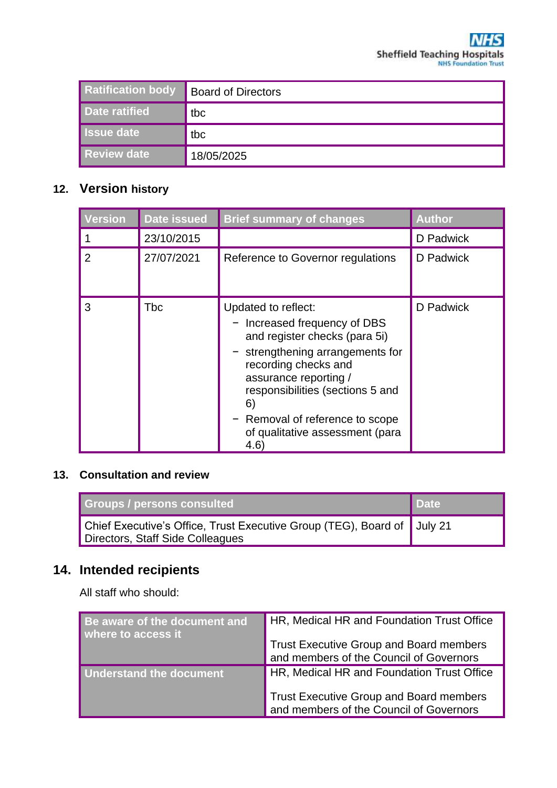| <b>Ratification body</b> | <b>Board of Directors</b> |
|--------------------------|---------------------------|
| Date ratified            | tbc                       |
| <b>Issue date</b>        | tbc                       |
| <b>Review date</b>       | 18/05/2025                |

# **12. Version history**

| Version | <b>Date issued</b> | <b>Brief summary of changes</b>                                                                                                                                                                                                                                                              | <b>Author</b> |
|---------|--------------------|----------------------------------------------------------------------------------------------------------------------------------------------------------------------------------------------------------------------------------------------------------------------------------------------|---------------|
|         | 23/10/2015         |                                                                                                                                                                                                                                                                                              | D Padwick     |
| 2       | 27/07/2021         | Reference to Governor regulations                                                                                                                                                                                                                                                            | D Padwick     |
| 3       | Tbc                | Updated to reflect:<br>Increased frequency of DBS<br>and register checks (para 5i)<br>strengthening arrangements for<br>recording checks and<br>assurance reporting /<br>responsibilities (sections 5 and<br>6)<br>Removal of reference to scope<br>of qualitative assessment (para<br>(4.6) | D Padwick     |

## **13. Consultation and review**

| Groups / persons consulted                                                                                  | <b>Date</b> |
|-------------------------------------------------------------------------------------------------------------|-------------|
| Chief Executive's Office, Trust Executive Group (TEG), Board of July 21<br>Directors, Staff Side Colleagues |             |

# **14. Intended recipients**

All staff who should:

| Be aware of the document and<br>where to access it | HR, Medical HR and Foundation Trust Office                                         |
|----------------------------------------------------|------------------------------------------------------------------------------------|
|                                                    | Trust Executive Group and Board members<br>and members of the Council of Governors |
| <b>Understand the document</b>                     | HR, Medical HR and Foundation Trust Office                                         |
|                                                    | Trust Executive Group and Board members<br>and members of the Council of Governors |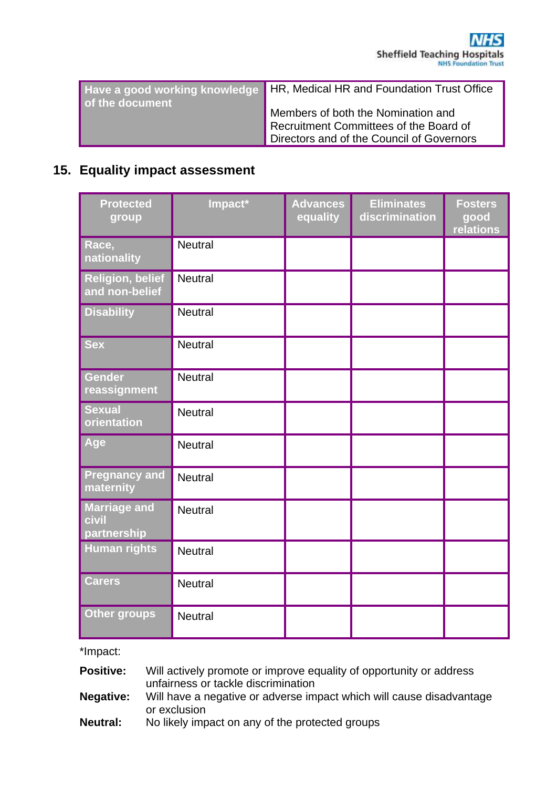| of the document | Have a good working knowledge   HR, Medical HR and Foundation Trust Office                                                |
|-----------------|---------------------------------------------------------------------------------------------------------------------------|
|                 | Members of both the Nomination and<br>Recruitment Committees of the Board of<br>Directors and of the Council of Governors |

## **15. Equality impact assessment**

| <b>Protected</b><br>group                   | Impact*        | <b>Advances</b><br>equality | <b>Eliminates</b><br>discrimination | <b>Fosters</b><br>good<br>relations |
|---------------------------------------------|----------------|-----------------------------|-------------------------------------|-------------------------------------|
| Race,<br>nationality                        | <b>Neutral</b> |                             |                                     |                                     |
| <b>Religion, belief</b><br>and non-belief   | <b>Neutral</b> |                             |                                     |                                     |
| <b>Disability</b>                           | <b>Neutral</b> |                             |                                     |                                     |
| <b>Sex</b>                                  | <b>Neutral</b> |                             |                                     |                                     |
| <b>Gender</b><br>reassignment               | <b>Neutral</b> |                             |                                     |                                     |
| <b>Sexual</b><br>orientation                | <b>Neutral</b> |                             |                                     |                                     |
| Age                                         | <b>Neutral</b> |                             |                                     |                                     |
| <b>Pregnancy and</b><br>maternity           | <b>Neutral</b> |                             |                                     |                                     |
| <b>Marriage and</b><br>civil<br>partnership | <b>Neutral</b> |                             |                                     |                                     |
| <b>Human rights</b>                         | <b>Neutral</b> |                             |                                     |                                     |
| <b>Carers</b>                               | <b>Neutral</b> |                             |                                     |                                     |
| <b>Other groups</b>                         | <b>Neutral</b> |                             |                                     |                                     |

\*Impact:

**Positive:** Will actively promote or improve equality of opportunity or address unfairness or tackle discrimination

**Negative:** Will have a negative or adverse impact which will cause disadvantage or exclusion

**Neutral:** No likely impact on any of the protected groups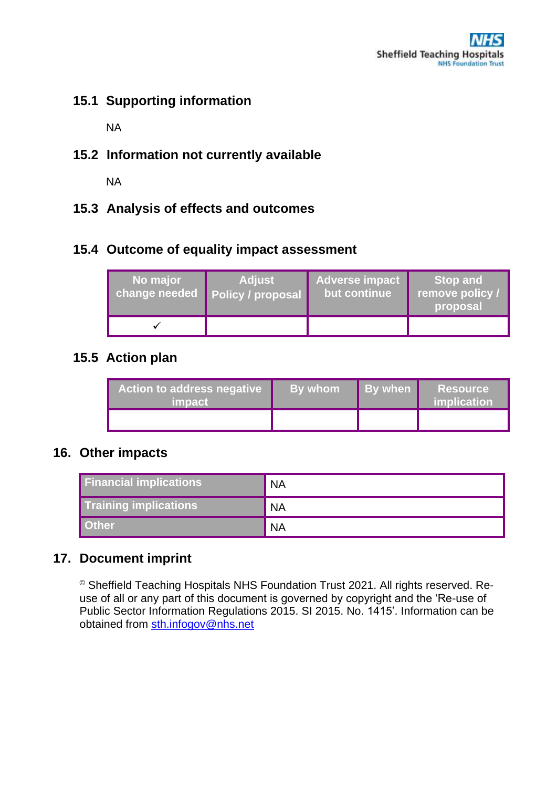# **15.1 Supporting information**

NA

**15.2 Information not currently available** 

NA

**15.3 Analysis of effects and outcomes**

# **15.4 Outcome of equality impact assessment**

| No major<br>change needed | <b>Adjust</b><br><b>Policy / proposal</b> | <b>Adverse impact</b><br>but continue | <b>Stop and</b><br>remove policy /<br>proposal |
|---------------------------|-------------------------------------------|---------------------------------------|------------------------------------------------|
|                           |                                           |                                       |                                                |

# **15.5 Action plan**

| Action to address negative<br><i>impact</i> | By whom | By when | <b>Resource</b><br>implication |
|---------------------------------------------|---------|---------|--------------------------------|
|                                             |         |         |                                |

## **16. Other impacts**

| <b>Financial implications</b> | <b>NA</b> |
|-------------------------------|-----------|
| <b>Training implications</b>  | <b>NA</b> |
| Other                         | <b>NA</b> |

# **17. Document imprint**

© Sheffield Teaching Hospitals NHS Foundation Trust 2021. All rights reserved. Reuse of all or any part of this document is governed by copyright and the 'Re-use of Public Sector Information Regulations 2015. SI 2015. No. 1415'. Information can be obtained from [sth.infogov@nhs.net](mailto:sth.infogov@nhs.net)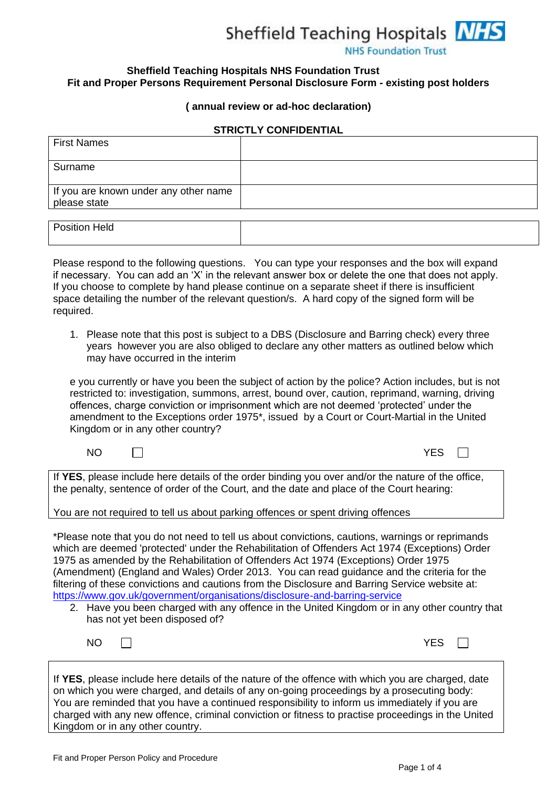

**NHS Foundation Trust** 

#### **Sheffield Teaching Hospitals NHS Foundation Trust Fit and Proper Persons Requirement Personal Disclosure Form - existing post holders**

#### **( annual review or ad-hoc declaration)**

#### **STRICTLY CONFIDENTIAL**

| <b>First Names</b>                                    |  |
|-------------------------------------------------------|--|
| Surname                                               |  |
| If you are known under any other name<br>please state |  |
| Position Held                                         |  |

Please respond to the following questions. You can type your responses and the box will expand if necessary. You can add an 'X' in the relevant answer box or delete the one that does not apply. If you choose to complete by hand please continue on a separate sheet if there is insufficient space detailing the number of the relevant question/s. A hard copy of the signed form will be required.

1. Please note that this post is subject to a DBS (Disclosure and Barring check) every three years however you are also obliged to declare any other matters as outlined below which may have occurred in the interim

e you currently or have you been the subject of action by the police? Action includes, but is not restricted to: investigation, summons, arrest, bound over, caution, reprimand, warning, driving offences, charge conviction or imprisonment which are not deemed 'protected' under the amendment to the Exceptions order 1975\*, issued by a Court or Court-Martial in the United Kingdom or in any other country?

| <b>YES</b><br><b>NO</b> |
|-------------------------|
|                         |

If **YES**, please include here details of the order binding you over and/or the nature of the office, the penalty, sentence of order of the Court, and the date and place of the Court hearing:

You are not required to tell us about parking offences or spent driving offences

\*Please note that you do not need to tell us about convictions, cautions, warnings or reprimands which are deemed 'protected' under the Rehabilitation of Offenders Act 1974 (Exceptions) Order 1975 as amended by the Rehabilitation of Offenders Act 1974 (Exceptions) Order 1975 (Amendment) (England and Wales) Order 2013. You can read guidance and the criteria for the filtering of these convictions and cautions from the Disclosure and Barring Service website at: <https://www.gov.uk/government/organisations/disclosure-and-barring-service>

2. Have you been charged with any offence in the United Kingdom or in any other country that has not yet been disposed of?

| NO I | $\mathcal{L}^{\text{max}}$ . |  |  | <b>YES</b> |
|------|------------------------------|--|--|------------|
|      |                              |  |  |            |

If **YES**, please include here details of the nature of the offence with which you are charged, date on which you were charged, and details of any on-going proceedings by a prosecuting body: You are reminded that you have a continued responsibility to inform us immediately if you are charged with any new offence, criminal conviction or fitness to practise proceedings in the United Kingdom or in any other country.

 $\Box$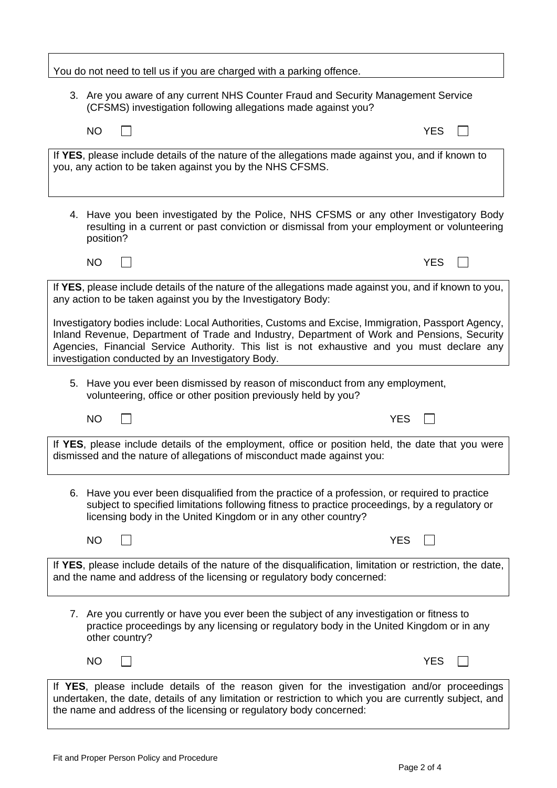You do not need to tell us if you are charged with a parking offence. 3. Are you aware of any current NHS Counter Fraud and Security Management Service (CFSMS) investigation following allegations made against you?  $\Box$  $NO$   $VES$ If **YES**, please include details of the nature of the allegations made against you, and if known to you, any action to be taken against you by the NHS CFSMS. 4. Have you been investigated by the Police, NHS CFSMS or any other Investigatory Body resulting in a current or past conviction or dismissal from your employment or volunteering position?  $NO$   $VES$ If **YES**, please include details of the nature of the allegations made against you, and if known to you, any action to be taken against you by the Investigatory Body: Investigatory bodies include: Local Authorities, Customs and Excise, Immigration, Passport Agency, Inland Revenue, Department of Trade and Industry, Department of Work and Pensions, Security Agencies, Financial Service Authority. This list is not exhaustive and you must declare any investigation conducted by an Investigatory Body. 5. Have you ever been dismissed by reason of misconduct from any employment, volunteering, office or other position previously held by you?  $\Box$ NO YES If **YES**, please include details of the employment, office or position held, the date that you were dismissed and the nature of allegations of misconduct made against you: 6. Have you ever been disqualified from the practice of a profession, or required to practice subject to specified limitations following fitness to practice proceedings, by a regulatory or licensing body in the United Kingdom or in any other country?  $\Box$ NO YES If **YES**, please include details of the nature of the disqualification, limitation or restriction, the date, and the name and address of the licensing or regulatory body concerned: 7. Are you currently or have you ever been the subject of any investigation or fitness to practice proceedings by any licensing or regulatory body in the United Kingdom or in any other country?  $NO$   $N$   $VES$  $\Box$ If **YES**, please include details of the reason given for the investigation and/or proceedings undertaken, the date, details of any limitation or restriction to which you are currently subject, and the name and address of the licensing or regulatory body concerned: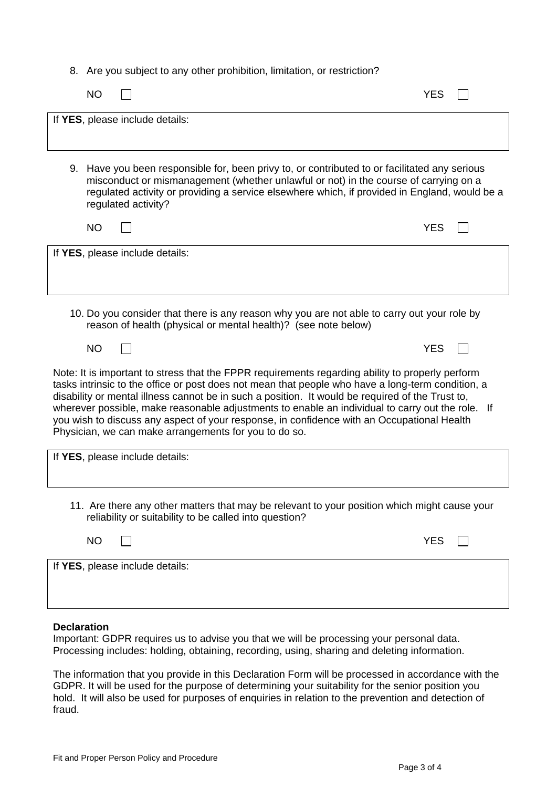8. Are you subject to any other prohibition, limitation, or restriction?

| <b>NO</b> |                                                                                                                                                                                                                                                                                                                                                                                                                                                                                                                                                                      | YES        |  |
|-----------|----------------------------------------------------------------------------------------------------------------------------------------------------------------------------------------------------------------------------------------------------------------------------------------------------------------------------------------------------------------------------------------------------------------------------------------------------------------------------------------------------------------------------------------------------------------------|------------|--|
|           | If YES, please include details:                                                                                                                                                                                                                                                                                                                                                                                                                                                                                                                                      |            |  |
|           | 9. Have you been responsible for, been privy to, or contributed to or facilitated any serious<br>misconduct or mismanagement (whether unlawful or not) in the course of carrying on a<br>regulated activity or providing a service elsewhere which, if provided in England, would be a<br>regulated activity?                                                                                                                                                                                                                                                        |            |  |
| <b>NO</b> |                                                                                                                                                                                                                                                                                                                                                                                                                                                                                                                                                                      | <b>YES</b> |  |
|           | If YES, please include details:                                                                                                                                                                                                                                                                                                                                                                                                                                                                                                                                      |            |  |
|           | 10. Do you consider that there is any reason why you are not able to carry out your role by<br>reason of health (physical or mental health)? (see note below)                                                                                                                                                                                                                                                                                                                                                                                                        |            |  |
| <b>NO</b> |                                                                                                                                                                                                                                                                                                                                                                                                                                                                                                                                                                      | <b>YES</b> |  |
|           | Note: It is important to stress that the FPPR requirements regarding ability to properly perform<br>tasks intrinsic to the office or post does not mean that people who have a long-term condition, a<br>disability or mental illness cannot be in such a position. It would be required of the Trust to,<br>wherever possible, make reasonable adjustments to enable an individual to carry out the role. If<br>you wish to discuss any aspect of your response, in confidence with an Occupational Health<br>Physician, we can make arrangements for you to do so. |            |  |
|           | If YES, please include details:                                                                                                                                                                                                                                                                                                                                                                                                                                                                                                                                      |            |  |
|           | 11. Are there any other matters that may be relevant to your position which might cause your<br>reliability or suitability to be called into question?                                                                                                                                                                                                                                                                                                                                                                                                               |            |  |
| <b>NO</b> |                                                                                                                                                                                                                                                                                                                                                                                                                                                                                                                                                                      | <b>YES</b> |  |
|           | If YES, please include details:                                                                                                                                                                                                                                                                                                                                                                                                                                                                                                                                      |            |  |

#### **Declaration**

Important: GDPR requires us to advise you that we will be processing your personal data. Processing includes: holding, obtaining, recording, using, sharing and deleting information.

The information that you provide in this Declaration Form will be processed in accordance with the GDPR. It will be used for the purpose of determining your suitability for the senior position you hold. It will also be used for purposes of enquiries in relation to the prevention and detection of fraud.